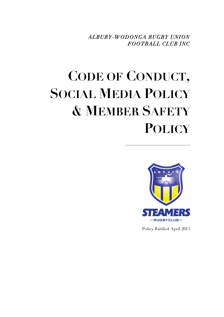*ALBURY-WODONGA RUGBY UNION FOOTBALL CLUB INC*

# **CODE OF CONDUCT, SOCIAL MEDIA POLICY & MEMBER SAFETY POLICY**



Policy Ratified April 2013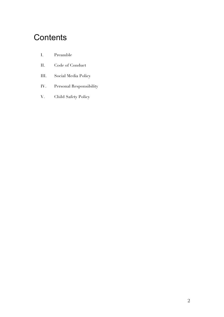### **Contents**

- I. Preamble
- II. Code of Conduct
- III. Social Media Policy
- IV. Personal Responsibility
- V. Child Safety Policy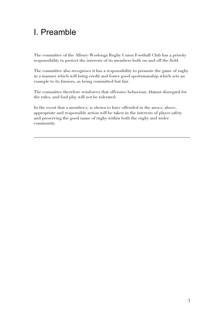### I. Preamble

The committee of the Albury-Wodonga Rugby Union Football Club has a priority responsibility to protect the interests of its members both on and off the field.

The committee also recognises it has a responsibility to promote the game of rugby in a manner which will bring credit and foster good sportsmanship which sets an example to its Juniors, as being committed but fair.

The committee therefore reinforces that offensive behaviour, blatant disregard for the rules, and foul play will not be tolerated.

In the event that a member(s) is shown to have offended in the area(s) above, appropriate and responsible action will be taken in the interests of player safety and preserving the good name of rugby within both the rugby and wider community.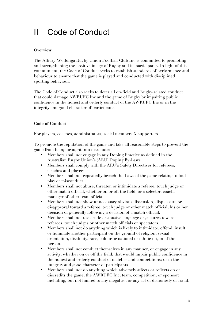### II Code of Conduct

### **Overview**

The Albury-Wodonga Rugby Union Football Club Inc is committed to promoting and strengthening the positive image of Rugby and its participants. In light of this commitment, the Code of Conduct seeks to establish standards of performance and behaviour to ensure that the game is played and conducted with disciplined sporting behaviour.

The Code of Conduct also seeks to deter all on-field and Rugby-related conduct that could damage AWRUFC Inc and the game of Rugby by impairing public confidence in the honest and orderly conduct of the AWRUFC Inc or in the integrity and good character of participants.

### **Code of Conduct**

For players, coaches, administrators, social members & supporters.

To promote the reputation of the game and take all reasonable steps to prevent the game from being brought into disrepute:

- Members shall not engage in any Doping Practice as defined in the Australian Rugby Union's (ARU) Doping By-Laws
- Members shall comply with the ARU's Safety Directives for referees, coaches and players
- Members shall not repeatedly breach the Laws of the game relating to foul play or misconduct
- Members shall not abuse, threaten or intimidate a referee, touch judge or other match official, whether on or off the field; or a selector, coach, manager of other team official
- Members shall not show unnecessary obvious dissension, displeasure or disapproval toward a referee, touch judge or other match official, his or her decision or generally following a decision of a match official.
- Members shall not use crude or abusive language or gestures towards referees, touch judges or other match officials or spectators.
- Members shall not do anything which is likely to intimidate, offend, insult or humiliate another participant on the ground of religion, sexual orientation, disability, race, colour or national or ethnic origin of the person.
- Members shall not conduct themselves in any manner, or engage in any activity, whether on or off the field, that would impair public confidence in the honest and orderly conduct of matches and competitions; or in the integrity and good character of participants.
- Members shall not do anything which adversely affects or reflects on or discredits the game, the AWRUFC Inc, team, competition, or sponsor; including, but not limited to any illegal act or any act of dishonesty or fraud.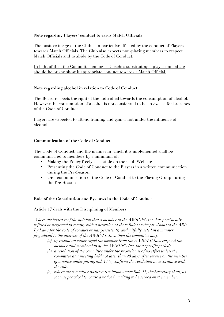### **Note regarding Players' conduct towards Match Officials**

The positive image of the Club is in particular affected by the conduct of Players towards Match Officials. The Club also expects non-playing members to respect Match Officials and to abide by the Code of Conduct.

In light of this, the Committee endorses Coaches substituting a player immediate should he or she show inappropriate conduct towards a Match Official.

### **Note regarding alcohol in relation to Code of Conduct**

The Board respects the right of the individual towards the consumption of alcohol. However the consumption of alcohol is not considered to be an excuse for breaches of the Code of Conduct.

Players are expected to attend training and games not under the influence of alcohol.

### **Communication of the Code of Conduct**

The Code of Conduct, and the manner in which it is implemented shall be communicated to members by a minimum of:

- Making the Policy freely accessible on the Club Website
- Presenting the Code of Conduct to the Players in a written communication during the Pre-Season
- Oral communication of the Code of Conduct to the Playing Group during the Pre-Season

### **Role of the Constitution and By-Laws in the Code of Conduct**

Article 17 deals with the Disciplining of Members:

*Where the board is of the opinion that a member of the AWRUFC Inc. has persistently refused or neglected to comply with a provision of these Rules or the provisions of the ARU By Laws for the code of conduct or has persistently and wilfully acted in a manner prejudicial to the interests of the AWRUFC Inc., then the committee may,*

- *(a) by resolution either expel the member from the AWRUFC Inc.: suspend the member and membership of the AWRUFC Inc. for a specific period;*
- *(b) a resolution of the committee under the provision is of no effect unless the committee at a meeting held not later than 28 days after service on the member of a notice under paragraph 17 (c) confirms the resolution in accordance with the rule.*
- *(c) where the committee passes a resolution under Rule 17, the Secretary shall, as soon as practicable, cause a notice in writing to be served on the member:*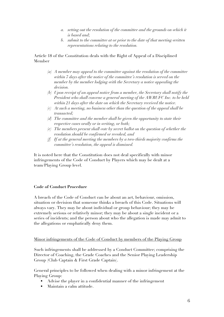- *a. setting out the resolution of the committee and the grounds on which it is based and;*
- *b. submit to the committee at or prior to the date of that meeting written representations relating to the resolution.*

Article 18 of the Constitution deals with the Right of Appeal of a Disciplined Member

- *(a) A member may appeal to the committee against the resolution of the committee within 7 days after the notice of the committee's resolution is served on the member by the member lodging with the Secretary a notice appealing the decision.*
- *(b) Upon receipt of an appeal notice from a member, the Secretary shall notify the President who shall convene a general meeting of the AWRUFC Inc. to be held within 21 days after the date on which the Secretary received the notice.*
- *(c) At such a meeting, no business other than the question of the appeal shall be transacted;*
- *(d) The committee and the member shall be given the opportunity to state their respective cases orally or in writing, or both;*
- *(e) The members present shall vote by secret ballot on the question of whether the resolution should be confirmed or revoked, and*
- *(f) If at the general meeting the members by a two-thirds majority confirms the committee's resolution, the appeal is dismissed.*

It is noted here that the Constitution does not deal specifically with minor infringements of the Code of Conduct by Players which may be dealt at a team/Playing Group level.

### **Code of Conduct Procedure**

A breach of the Code of Conduct can be about an act, behaviour, omission, situation or decision that someone thinks a breach of this Code. Situations will always vary. They may be about individual or group behaviour; they may be extremely serious or relatively minor; they may be about a single incident or a series of incidents; and the person about who the allegation is made may admit to the allegations or emphatically deny them.

### Minor infringements of the Code of Conduct by members of the Playing Group

Such infringements shall be addressed by a Conduct Committee; comprising the Director of Coaching, the Grade Coaches and the Senior Playing Leadership Group (Club Captain & First Grade Captain).

General principles to be followed when dealing with a minor infringement at the Playing Group:

- Advise the player in a confidential manner of the infringement
- Maintain a calm attitude.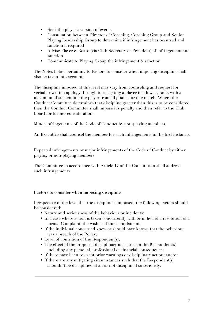- Seek the player's version of events
- Consultation between Director of Coaching, Coaching Group and Senior Playing Leadership Group to determine if infringement has occurred and sanction if required
- Advise Player & Board (via Club Secretary or President) of infringement and sanction
- Communicate to Playing Group the infringement & sanction

The Notes below pertaining to Factors to consider when imposing discipline shall also be taken into account.

The discipline imposed at this level may vary from counseling and request for verbal or written apology through to relegating a player to a lower grade, with a maximum of suspending the player from all grades for one match. Where the Conduct Committee determines that discipline greater than this is to be considered then the Conduct Committee shall impose it's penalty and then refer to the Club Board for further consideration.

### Minor infringements of the Code of Conduct by non-playing members

An Executive shall counsel the member for such infringements in the first instance.

Repeated infringements or major infringements of the Code of Conduct by either playing or non-playing members

The Committee in accordance with Article 17 of the Constitution shall address such infringements.

### **Factors to consider when imposing discipline**

Irrespective of the level that the discipline is imposed, the following factors should be considered:

- Nature and seriousness of the behaviour or incidents;
- In a case where action is taken concurrently with or in lieu of a resolution of a formal Complaint, the wishes of the Complainant;
- If the individual concerned knew or should have known that the behaviour was a breach of the Policy;
- $\blacksquare$  Level of contrition of the Respondents:
- $\blacksquare$  The effect of the proposed disciplinary measures on the Respondent(s) including any personal, professional or financial consequences;
- If there have been relevant prior warnings or disciplinary action; and/or
- If there are any mitigating circumstances such that the Respondent $(s)$ shouldn't be disciplined at all or not disciplined so seriously.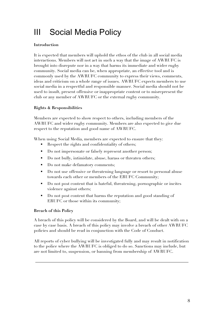# III Social Media Policy

### **Introduction**

It is expected that members will uphold the ethos of the club in all social media interactions. Members will not act in such a way that the image of AWRUFC is brought into disrepute nor in a way that harms its immediate and wider rugby community. Social media can be, when appropriate, an effective tool and is commonly used by the AWRUFC community to express their views, comments, ideas and criticism on a whole range of issues. AWRUFC expects members to use social media in a respectful and responsible manner. Social media should not be used to insult, present offensive or inappropriate content or to misrepresent the club or any member of AWRUFC or the external rugby community.

### **Rights & Responsibilities**

Members are expected to show respect to others, including members of the AWRUFC and wider rugby community. Members are also expected to give due respect to the reputation and good name of AWRUFC.

When using Social Media, members are expected to ensure that they:

- Respect the rights and confidentiality of others;
- Do not impersonate or falsely represent another person;
- Do not bully, intimidate, abuse, harass or threaten others;
- Do not make defamatory comments;
- Do not use offensive or threatening language or resort to personal abuse towards each other or members of the ERUFC Community;
- Do not post content that is hateful, threatening, pornographic or incites violence against others;
- Do not post content that harms the reputation and good standing of ERUFC or those within its community;

### **Breach of this Policy**

A breach of this policy will be considered by the Board, and will be dealt with on a case by case basis. A breach of this policy may involve a breach of other AWRUFC policies and should be read in conjunction with the Code of Conduct.

All reports of cyber bullying will be investigated fully and may result in notification to the police where the AWRUFC is obliged to do so. Sanctions may include, but are not limited to, suspension, or banning from membership of AWRUFC.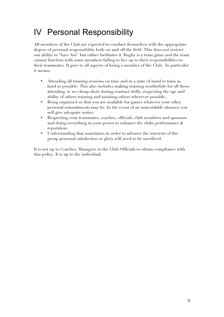## IV Personal Responsibility

All members of the Club are expected to conduct themselves with the appropriate degree of personal responsibility both on and off the field. This does not restrict our ability to "have fun" but rather facilitates it. Rugby is a team game and the team cannot function with some members failing to live up to their responsibilities to their teammates. It goes to all aspects of being a member of the Club. In particular it means:

- Attending all training sessions on time and in a state of mind to train as hard as possible. This also includes making training worthwhile for all those attending (ie no cheap shots during contract drills, respecting the age and ability of others training and assisting others wherever possible.)
- Being organized so that you are available for games whatever your other personal commitments may be. In the event of an unavoidable absence you will give adequate notice.
- Respecting your teammates, coaches, officials, club members and sponsors and doing everything in your power to enhance the clubs performance & reputation.
- Understanding that sometimes in order to advance the interests of the group personal satisfaction or glory will need to be sacrificed.

It is not up to Coaches, Managers or the Club Officials to obtain compliance with this policy. It is up to the individual.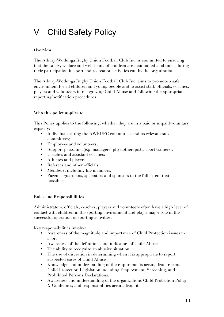# V Child Safety Policy

### **Overview**

The Albury-Wodonga Rugby Union Football Club Inc. is committed to ensuring that the safety, welfare and well-being of children are maintained at al times during their participation in sport and recreation activities run by the organization.

The Albury-Wodonga Rugby Union Football Club Inc. aims to promote a safe environment for all children and young people and to assist staff, officials, coaches, players and volunteers in recognizing Child Abuse and following the appropriate reporting/notification procedures.

### **Who this policy applies to**

This Policy applies to the following, whether they are in a paid or unpaid/voluntary capacity:

- Individuals sitting the AWRUFC committees and its relevant subcommittees;
- Employees and volunteers;
- Support personnel (e.g. managers, physiotherapists, sport trainers);
- Coaches and assistant coaches;
- **Athletes and players;**
- Referees and other officials;
- Members, including life members;
- Parents, guardians, spectators and sponsors to the full extent that is possible.

### **Roles and Responsibilities**

Administrators, officials, coaches, players and volunteers often have a high level of contact with children in the sporting environment and play a major role in the successful operation of sporting activities.

Key responsibilities involve:

- Awareness of the magnitude and importance of Child Protection issues in sport
- Awareness of the definitions and indicators of Child Abuse
- The ability to recognize an abusive situation
- The use of discretion in determining when it is appropriate to report suspected cases of Child Abuse
- Knowledge and understanding of the requirements arising from recent Child Protection Legislation including Employment, Screening, and Prohibited Persons Declarations.
- Awareness and understanding of the organizations Child Protection Policy & Guidelines; and responsibilities arising from it.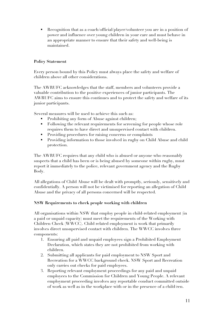Recognition that as a coach/official/player/volunteer you are in a position of power and influence over young children in your care and must behave in an appropriate manner to ensure that their safety and well-being is maintained.

### **Policy Statement**

Every person bound by this Policy must always place the safety and welfare of children above all other considerations.

The AWRUFC acknowledges that the staff, members and volunteers provide a valuable contribution to the positive experiences of junior participants. The AWRUFC aims to ensure this continues and to protect the safety and welfare of its junior participants.

Several measures will be used to achieve this such as:

- Prohibiting any form of Abuse against children;
- Following the relevant requirements for screening for people whose role requires them to have direct and unsupervised contact with children.
- Providing procedures for raising concerns or complaints
- Providing information to those involved in rugby on Child Abuse and child protection.

The AWRUFC requires that any child who is abused or anyone who reasonably suspects that a child has been or is being abused by someone within rugby, must report it immediately to the police, relevant government agency and the Rugby Body.

All allegations of Child Abuse will be dealt with promptly, seriously, sensitively and confidentially. A person will not be victimised for reporting an allegation of Child Abuse and the privacy of all persons concerned will be respected.

### **NSW Requirements to check people working with children**

All organisations within NSW that employ people in child-related employment (in a paid or unpaid capacity) must meet the requirements of the Working with Children Check (WWCC). Child related employment is work that primarily involves direct unsupervised contact with children. The WWCC involves three components:

- 1. Ensuring all paid and unpaid employees sign a Prohibited Employment Declaration, which states they are not prohibited from working with children.
- 2. Submitting all applicants for paid employment to NSW Sport and Recreation for a WWCC background check. NSW Sport and Recreation only carries out checks for paid employees.
- 3. Reporting relevant employment proceedings for any paid and unpaid employees to the Commission for Children and Young People. A relevant employment proceeding involves any reportable conduct committed outside of work as well as in the workplace with or in the presence of a child/ren.